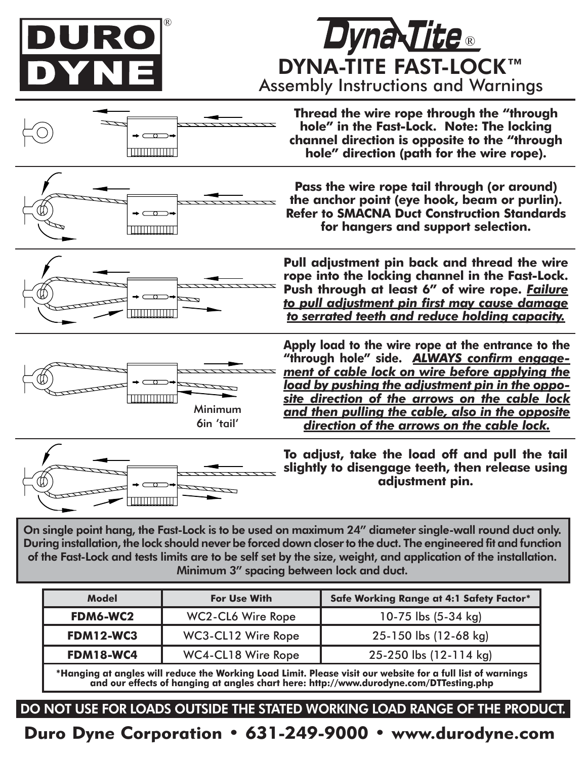

DYNA-TITE FAST-LOCK™ Assembly Instructions and Warnings **Dyna Tite** 



On single point hang, the Fast-Lock is to be used on maximum 24" diameter single-wall round duct only. During installation, the lock should never be forced down closer to the duct. The engineered fit and function of the Fast-Lock and tests limits are to be self set by the size, weight, and application of the installation. Minimum 3" spacing between lock and duct.

| Model            | <b>For Use With</b> | Safe Working Range at 4:1 Safety Factor* |
|------------------|---------------------|------------------------------------------|
| FDM6-WC2         | WC2-CL6 Wire Rope   | 10-75 lbs (5-34 kg)                      |
| <b>FDM12-WC3</b> | WC3-CL12 Wire Rope  | 25-150 lbs (12-68 kg)                    |
| <b>FDM18-WC4</b> | WC4-CL18 Wire Rope  | 25-250 lbs (12-114 kg)                   |
| .                |                     |                                          |

**\*Hanging at angles will reduce the Working Load Limit. Please visit our website for a full list of warnings and our effects of hanging at angles chart here: http://www.durodyne.com/DTTesting.php**

DO NOT USE FOR LOADS OUTSIDE THE STATED WORKING LOAD RANGE OF THE PRODUCT

Duro Dyne Corporation • 631-249-9000 • www.durodyne.com